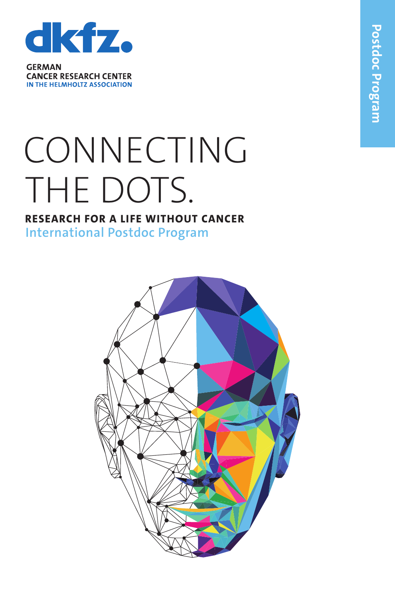

**CANCER RESEARCH CENTER** IN THE HELMHOLTZ ASSOCIATION

## CONNECTING THE DOTS.

## **RESEARCH FOR A LIFE WITHOUT CANCER International Postdoc Progra m**